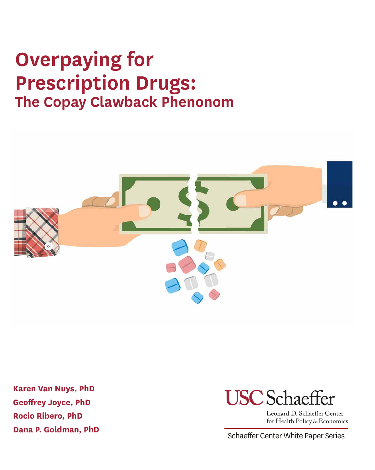# **Overpaying for Prescription Drugs: The Copay Clawback Phenonom**



**Karen Van Nuys, PhD Geoffrey Joyce, PhD Rocio Ribero, PhD** 



Leonard D. Schaeffer Center for Health Policy & Economics

**Dana P. Goldman, PhD** Schaeffer Center White Paper Series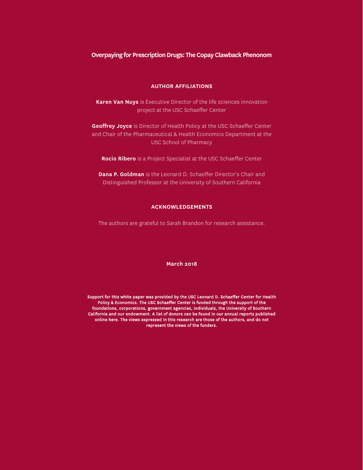#### **Overpaying for Prescription Drugs: The Copay Clawback Phenonom**

#### **AUTHOR AFFILIATIONS**

**Karen Van Nuys** is Executive Director of the life sciences innovation project at the USC Schaeffer Center

**Geoffrey Joyce** is Director of Health Policy at the USC Schaeffer Center and Chair of the Pharmaceutical & Health Economics Department at the USC School of Pharmacy

**Rocio Ribero** is a Project Specialist at the USC Schaeffer Center

**Dana P. Goldman** is the Leonard D. Schaeffer Director's Chair and Distinguished Professor at the University of Southern California

#### **ACKNOWLEDGEMENTS**

The authors are grateful to Sarah Brandon for research assistance.

#### **March 2018**

Support for this white paper was provided by the USC Leonard D. Schaeffer Center for Health Policy & Economics. The USC Schaeffer Center is funded through the support of the foundations, corporations, government agencies, individuals, the University of Southern California and our endowment. A list of donors can be found in our annual reports published online here. The views expressed in this research are those of the authors, and do not represent the views of the funders.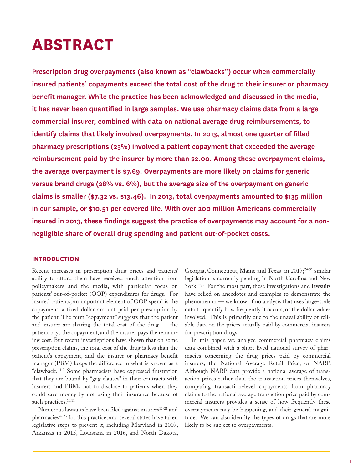### **ABSTRACT**

**Prescription drug overpayments (also known as "clawbacks") occur when commercially insured patients' copayments exceed the total cost of the drug to their insurer or pharmacy benefit manager. While the practice has been acknowledged and discussed in the media, it has never been quantified in large samples. We use pharmacy claims data from a large commercial insurer, combined with data on national average drug reimbursements, to identify claims that likely involved overpayments. In 2013, almost one quarter of filled pharmacy prescriptions (23%) involved a patient copayment that exceeded the average reimbursement paid by the insurer by more than \$2.00. Among these overpayment claims, the average overpayment is \$7.69. Overpayments are more likely on claims for generic versus brand drugs (28% vs. 6%), but the average size of the overpayment on generic claims is smaller (\$7.32 vs. \$13.46). In 2013, total overpayments amounted to \$135 million in our sample, or \$10.51 per covered life. With over 200 million Americans commercially insured in 2013, these findings suggest the practice of overpayments may account for a nonnegligible share of overall drug spending and patient out-of-pocket costs.** 

#### **INTRODUCTION**

Recent increases in prescription drug prices and patients' ability to afford them have received much attention from policymakers and the media, with particular focus on patients' out-of-pocket (OOP) expenditures for drugs. For insured patients, an important element of OOP spend is the copayment, a fixed dollar amount paid per prescription by the patient. The term "copayment" suggests that the patient and insurer are sharing the total cost of the drug — the patient pays the copayment, and the insurer pays the remaining cost. But recent investigations have shown that on some prescription claims, the total cost of the drug is less than the patient's copayment, and the insurer or pharmacy benefit manager (PBM) keeps the difference in what is known as a "clawback."1-9 Some pharmacists have expressed frustration that they are bound by "gag clauses" in their contracts with insurers and PBMs not to disclose to patients when they could save money by not using their insurance because of such practices.<sup>10,11</sup>

Numerous lawsuits have been filed against insurers<sup>12-21</sup> and pharmacies<sup>22,23</sup> for this practice, and several states have taken legislative steps to prevent it, including Maryland in 2007, Arkansas in 2015, Louisiana in 2016, and North Dakota, Georgia, Connecticut, Maine and Texas in 2017;<sup>24-31</sup> similar legislation is currently pending in North Carolina and New York.<sup>32,33</sup> For the most part, these investigations and lawsuits have relied on anecdotes and examples to demonstrate the phenomenon — we know of no analysis that uses large-scale data to quantify how frequently it occurs, or the dollar values involved. This is primarily due to the unavailability of reliable data on the prices actually paid by commercial insurers for prescription drugs.

In this paper, we analyze commercial pharmacy claims data combined with a short-lived national survey of pharmacies concerning the drug prices paid by commercial insurers, the National Average Retail Price, or NARP. Although NARP data provide a national average of transaction prices rather than the transaction prices themselves, comparing transaction-level copayments from pharmacy claims to the national average transaction price paid by commercial insurers provides a sense of how frequently these overpayments may be happening, and their general magnitude. We can also identify the types of drugs that are more likely to be subject to overpayments.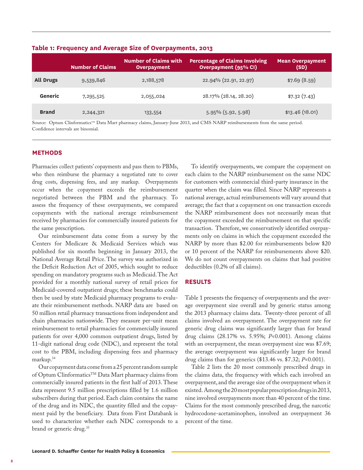|                  | <b>Number of Claims</b> | <b>Number of Claims with</b><br><b>Overpayment</b> | <b>Percentage of Claims Involving</b><br>Overpayment (95% CI) | <b>Mean Overpayment</b><br>(SD) |
|------------------|-------------------------|----------------------------------------------------|---------------------------------------------------------------|---------------------------------|
| <b>All Drugs</b> | 9,539,846               | 2,188,578                                          | 22.94% (22.91, 22.97)                                         | \$7.69(8.59)                    |
| Generic          | 7,295,525               | 2,055,024                                          | 28.17% (28.14, 28.20)                                         | \$7.32(7.43)                    |
| <b>Brand</b>     | 2,244,321               | 133,554                                            | 5.95% (5.92, 5.98)                                            | \$13.46(18.01)                  |

**Table 1: Frequency and Average Size of Overpayments, 2013**

Source: Optum Clinformatics<sup>TM</sup> Data Mart pharmacy claims, January-June 2013, and CMS NARP reimbursements from the same period. Confidence intervals are binomial.

#### **METHODS**

Pharmacies collect patients' copayments and pass them to PBMs, who then reimburse the pharmacy a negotiated rate to cover drug costs, dispensing fees, and any markup. Overpayments occur when the copayment exceeds the reimbursement negotiated between the PBM and the pharmacy. To assess the frequency of these overpayments, we compared copayments with the national average reimbursement received by pharmacies for commercially insured patients for the same prescription.

Our reimbursement data come from a survey by the Centers for Medicare & Medicaid Services which was published for six months beginning in January 2013, the National Average Retail Price. The survey was authorized in the Deficit Reduction Act of 2005, which sought to reduce spending on mandatory programs such as Medicaid. The Act provided for a monthly national survey of retail prices for Medicaid-covered outpatient drugs; these benchmarks could then be used by state Medicaid pharmacy programs to evaluate their reimbursement methods. NARP data are based on 50 million retail pharmacy transactions from independent and chain pharmacies nationwide. They measure per-unit mean reimbursement to retail pharmacies for commercially insured patients for over 4,000 common outpatient drugs, listed by 11-digit national drug code (NDC), and represent the total cost to the PBM, including dispensing fees and pharmacy markup.34

Our copayment data come from a 25 percent random sample of Optum Clinformatics™ Data Mart pharmacy claims from commercially insured patients in the first half of 2013. These data represent 9.5 million prescriptions filled by 1.6 million subscribers during that period. Each claim contains the name of the drug and its NDC, the quantity filled and the copayment paid by the beneficiary. Data from First Databank is used to characterize whether each NDC corresponds to a brand or generic drug.35

To identify overpayments, we compare the copayment on each claim to the NARP reimbursement on the same NDC for customers with commercial third-party insurance in the quarter when the claim was filled. Since NARP represents a national average, actual reimbursements will vary around that average; the fact that a copayment on one transaction exceeds the NARP reimbursement does not necessarily mean that the copayment exceeded the reimbursement on that specific transaction. Therefore, we conservatively identified overpayments only on claims in which the copayment exceeded the NARP by more than \$2.00 for reimbursements below \$20 or 10 percent of the NARP for reimbursements above \$20. We do not count overpayments on claims that had positive deductibles (0.2% of all claims).

#### **RESULTS**

Table 1 presents the frequency of overpayments and the average overpayment size overall and by generic status among the 2013 pharmacy claims data. Twenty-three percent of all claims involved an overpayment. The overpayment rate for generic drug claims was significantly larger than for brand drug claims (28.17% vs. 5.95%; *P*<0.001). Among claims with an overpayment, the mean overpayment size was \$7.69; the average overpayment was significantly larger for brand drug claims than for generics (\$13.46 vs. \$7.32; *P*<0.001).

Table 2 lists the 20 most commonly prescribed drugs in the claims data, the frequency with which each involved an overpayment, and the average size of the overpayment when it existed. Among the 20 most popular prescription drugs in 2013, nine involved overpayments more than 40 percent of the time. Claims for the most commonly prescribed drug, the narcotic hydrocodone-acetaminophen, involved an overpayment 36 percent of the time.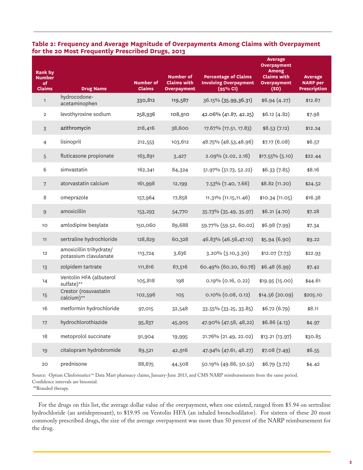| Rank by<br><b>Number</b><br>of<br><b>Claims</b> | <b>Drug Name</b>                                 | <b>Number of</b><br><b>Claims</b> | <b>Number of</b><br><b>Claims with</b><br><b>Overpayment</b> | <b>Percentage of Claims</b><br><b>Involving Overpayment</b><br>(95% CI) | <b>Average</b><br><b>Overpayment</b><br><b>Among</b><br><b>Claims with</b><br><b>Overpayment</b><br>(SD) | <b>Average</b><br><b>NARP</b> per<br><b>Prescription</b> |
|-------------------------------------------------|--------------------------------------------------|-----------------------------------|--------------------------------------------------------------|-------------------------------------------------------------------------|----------------------------------------------------------------------------------------------------------|----------------------------------------------------------|
| $\mathbf{1}$                                    | hydrocodone-<br>acetaminophen                    | 330,812                           | 119,587                                                      | 36.15% (35.99,36.31)                                                    | \$6.94(4.27)                                                                                             | \$12.67                                                  |
| $\overline{2}$                                  | levothyroxine sodium                             | 258,936                           | 108,910                                                      | 42.06% (41.87, 42.25)                                                   | \$6.12(4.82)                                                                                             | \$7.98                                                   |
| $\sqrt{3}$                                      | azithromycin                                     | 218,416                           | 38,600                                                       | 17.67% (17.51, 17.83)                                                   | \$8.53(7.12)                                                                                             | \$12.24                                                  |
| $\overline{4}$                                  | lisinopril                                       | 212,553                           | 103,612                                                      | 48.75% (48.53,48.96)                                                    | \$7.17 (6.08)                                                                                            | \$6.57                                                   |
| 5                                               | fluticasone propionate                           | 163,891                           | 3,427                                                        | $2.09\%$ $(2.02, 2.16)$                                                 | $$17.55\%$ (5.10)                                                                                        | \$22.44                                                  |
| 6                                               | simvastatin                                      | 162,241                           | 84,324                                                       | 51.97% (51.73, 52.22)                                                   | \$6.33(7.85)                                                                                             | \$8.16                                                   |
| $\sqrt{ }$                                      | atorvastatin calcium                             | 161,998                           | 12,199                                                       | 7.53% (7.40, 7.66)                                                      | \$8.82 (11.20)                                                                                           | \$24.52                                                  |
| 8                                               | omeprazole                                       | 157,964                           | 17,858                                                       | 11.31% (11.15, 11.46)                                                   | \$10.34(11.05)                                                                                           | \$16.38                                                  |
| $\mathsf 9$                                     | amoxicillin                                      | 153,293                           | 54,770                                                       | 35.73% (35.49, 35.97)                                                   | \$6.21(4.70)                                                                                             | \$7.28                                                   |
| 10                                              | amlodipine besylate                              | 150,060                           | 89,688                                                       | 59.77% (59.52, 60.02)                                                   | \$6.98 (7.99)                                                                                            | \$7.34                                                   |
| 11                                              | sertraline hydrochloride                         | 128,829                           | 60,328                                                       | 46.83% (46.56,47.10)                                                    | \$5.94(6.90)                                                                                             | \$9.22                                                   |
| 12                                              | amoxicillin trihydrate/<br>potassium clavulanate | 113,724                           | 3,636                                                        | 3.20% (3.10,3.30)                                                       | \$12.07(7.73)                                                                                            | \$22.93                                                  |
| 13                                              | zolpidem tartrate                                | 111,616                           | 67,516                                                       | 60.49% (60.20, 60.78)                                                   | \$6.48(6.99)                                                                                             | \$7.42                                                   |
| 14                                              | Ventolin HFA (albuterol<br>sulfate)**            | 105,818                           | 198                                                          | 0.19% (0.16, 0.22)                                                      | \$19.95 (15.00)                                                                                          | \$44.61                                                  |
| 15                                              | Crestor (rosuvastatin<br>calcium)**              | 102,596                           | 105                                                          | $0.10\%$ (0.08, 0.12)                                                   | \$14.56(20.09)                                                                                           | \$205.10                                                 |
| 16                                              | metformin hydrochloride                          | 97,015                            | 32,548                                                       | $33.55\%$ (33.25, 33.85)                                                | \$6.72(6.79)                                                                                             | \$8.11                                                   |
| 17                                              | hydrochlorothiazide                              | 95,837                            | 45,905                                                       | 47.90% (47.58, 48,22)                                                   | \$6.86(4.13)                                                                                             | \$4.97                                                   |
| 18                                              | metoprolol succinate                             | 91,904                            | 19,995                                                       | 21.76% (21.49, 22.02)                                                   | \$13.21(13.97)                                                                                           | \$30.85                                                  |
| 19                                              | citalopram hydrobromide                          | 89,521                            | 42,916                                                       | 47.94% (47.61, 48.27)                                                   | \$7.08(7.49)                                                                                             | \$6.55                                                   |
| 20                                              | prednisone                                       | 88,675                            | 44,508                                                       | 50.19% (49.86, 50.52)                                                   | \$6.79(3.72)                                                                                             | \$4.42                                                   |

#### **Table 2: Frequency and Average Magnitude of Overpayments Among Claims with Overpayment for the 20 Most Frequently Prescribed Drugs, 2013**

Source: Optum Clinformatics<sup>TM</sup> Data Mart pharmacy claims, January-June 2013, and CMS NARP reimbursements from the same period. Confidence intervals are binomial.

\*\*Branded therapy.

For the drugs on this list, the average dollar value of the overpayment, when one existed, ranged from \$5.94 on sertraline hydrochloride (an antidepressant), to \$19.95 on Ventolin HFA (an inhaled bronchodilator). For sixteen of these 20 most commonly prescribed drugs, the size of the average overpayment was more than 50 percent of the NARP reimbursement for the drug.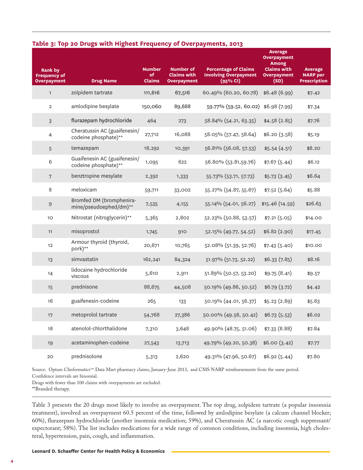|  |  | Table 3: Top 20 Drugs with Highest Frequency of Overpayments, 2013 |  |  |
|--|--|--------------------------------------------------------------------|--|--|
|--|--|--------------------------------------------------------------------|--|--|

| <b>Rank by</b><br><b>Frequency of</b><br><b>Overpayment</b> | <b>Drug Name</b>                                     | <b>Number</b><br>of<br><b>Claims</b> | <b>Number of</b><br><b>Claims with</b><br><b>Overpayment</b> | <b>Percentage of Claims</b><br><b>Involving Overpayment</b><br>(95% CI) | <b>Average</b><br><b>Overpayment</b><br><b>Among</b><br><b>Claims with</b><br><b>Overpayment</b><br>(SD) | <b>Average</b><br><b>NARP</b> per<br><b>Prescription</b> |
|-------------------------------------------------------------|------------------------------------------------------|--------------------------------------|--------------------------------------------------------------|-------------------------------------------------------------------------|----------------------------------------------------------------------------------------------------------|----------------------------------------------------------|
| $\mathbf{1}$                                                | zolpidem tartrate                                    | 111,616                              | 67,516                                                       | 60.49% (60.20, 60.78)                                                   | \$6.48(6.99)                                                                                             | \$7.42                                                   |
| $\overline{2}$                                              | amlodipine besylate                                  | 150,060                              | 89,688                                                       | 59.77% (59.52, 60.02)                                                   | \$6.98 (7.99)                                                                                            | \$7.34                                                   |
| 3                                                           | flurazepam hydrochloride                             | 464                                  | 273                                                          | 58.84% (54.21, 63.35)                                                   | \$4.58(2.85)                                                                                             | \$7.76                                                   |
| $\overline{4}$                                              | Cheratussin AC (guaifenesin/<br>codeine phosphate)** | 27,712                               | 16,088                                                       | 58.05% (57.47, 58.64)                                                   | \$6.20(3.58)                                                                                             | \$5.19                                                   |
| 5                                                           | temazepam                                            | 18,292                               | 10,391                                                       | 56.81% (56.08, 57.53)                                                   | \$5.54(4.51)                                                                                             | \$8.20                                                   |
| $\,$ 6                                                      | Guaifenesin AC (guaifenesin/<br>codeine phosphate)** | 1,095                                | 622                                                          | 56.80% (53.81,59.76)                                                    | \$7.67(5.44)                                                                                             | \$6.12                                                   |
| $7\phantom{.}$                                              | benztropine mesylate                                 | 2,392                                | 1,333                                                        | 55.73% (53.71, 57.73)                                                   | \$5.73(3.45)                                                                                             | \$6.64                                                   |
| 8                                                           | meloxicam                                            | 59,711                               | 33,002                                                       | 55.27% (54.87, 55.67)                                                   | \$7.52(5.64)                                                                                             | \$5.88                                                   |
| 9                                                           | Bromfed DM (bromphenira-<br>mine/pseudoephed/dm)**   | 7,535                                | 4,155                                                        | 55.14% (54.01, 56.27)                                                   | \$15.46(14.59)                                                                                           | \$26.63                                                  |
| 10                                                          | Nitrostat (nitroglycerin)**                          | 5,365                                | 2,802                                                        | 52.23% (50.88, 53.57)                                                   | \$7.21(5.05)                                                                                             | \$14.00                                                  |
| 11                                                          | misoprostol                                          | 1,745                                | 910                                                          | 52.15% (49.77, 54.52)                                                   | \$6.82(2.90)                                                                                             | \$17.45                                                  |
| 12                                                          | Armour thyroid (thyroid,<br>pork)**                  | 20,671                               | 10,765                                                       | 52.08% (51.39, 52.76)                                                   | \$7.43(5.40)                                                                                             | \$10.00                                                  |
| 13                                                          | simvastatin                                          | 162,241                              | 84,324                                                       | 51.97% (51.73, 52.22)                                                   | \$6.33(7.85)                                                                                             | \$8.16                                                   |
| 14                                                          | lidocaine hydrochloride<br>viscous                   | 5,610                                | 2,911                                                        | 51.89% (50.57, 53.20)                                                   | \$9.75(8.41)                                                                                             | \$9.57                                                   |
| 15                                                          | prednisone                                           | 88,675                               | 44,508                                                       | 50.19% (49.86, 50.52)                                                   | \$6.79(3.72)                                                                                             | \$4.42                                                   |
| 16                                                          | guaifenesin-codeine                                  | 265                                  | 133                                                          | 50.19% (44.01, 56.37)                                                   | \$5.23(2.89)                                                                                             | \$5.63                                                   |
| 17                                                          | metoprolol tartrate                                  | 54,768                               | 27,386                                                       | 50.00% (49.58, 50.42) \$6.73 (5.53)                                     |                                                                                                          | \$6.02                                                   |
| 18                                                          | atenolol-chlorthalidone                              | 7,310                                | 3,648                                                        | 49.90% (48.75, 51.06)                                                   | \$7.33(8.88)                                                                                             | \$7.84                                                   |
| 19                                                          | acetaminophen-codeine                                | 27,543                               | 13,713                                                       | 49.79% (49.20, 50.38)                                                   | \$6.00(3.42)                                                                                             | \$7.77                                                   |
| $20$                                                        | prednisolone                                         | 5,313                                | 2,620                                                        | 49.31% (47.96, 50.67)                                                   | \$6.92(5.44)                                                                                             | \$7.80                                                   |

Source: Optum Clinformatics<sup>TM</sup> Data Mart pharmacy claims, January-June 2013, and CMS NARP reimbursements from the same period. Confidence intervals are binomial.

Drugs with fewer than 100 claims with overpayments are excluded.

\*\*Branded therapy.

Table 3 presents the 20 drugs most likely to involve an overpayment. The top drug, zolpidem tartrate (a popular insomnia treatment), involved an overpayment 60.5 percent of the time, followed by amlodipine besylate (a calcum channel blocker; 60%), flurazepam hydrochloride (another insomnia medication; 59%), and Cheratussin AC (a narcotic cough suppressant/ expectorant; 58%). The list includes medications for a wide range of common conditions, including insomnia, high cholesteral, hypertension, pain, cough, and inflammation.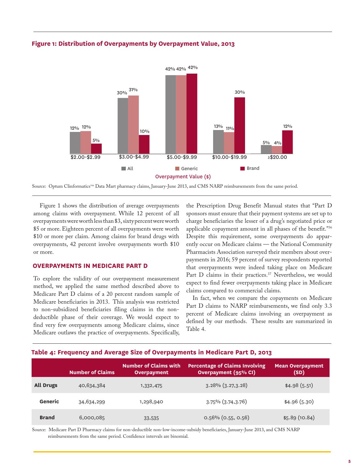

#### **Figure 1: Distribution of Overpayments by Overpayment Value, 2013**

Source: Optum Clinformatics<sup>TM</sup> Data Mart pharmacy claims, January-June 2013, and CMS NARP reimbursements from the same period.

Figure 1 shows the distribution of average overpayments among claims with overpayment. While 12 percent of all overpayments were worth less than \$3, sixty percent were worth \$5 or more. Eighteen percent of all overpayments were worth \$10 or more per claim. Among claims for brand drugs with overpayments, 42 percent involve overpayments worth \$10 or more.

#### **OVERPAYMENTS IN MEDICARE PART D**

To explore the validity of our overpayment measurement method, we applied the same method described above to Medicare Part D claims of a 20 percent random sample of Medicare beneficiaries in 2013. This analysis was restricted to non-subsidized beneficiaries filing claims in the nondeductible phase of their coverage. We would expect to find very few overpayments among Medicare claims, since Medicare outlaws the practice of overpayments. Specifically, the Prescription Drug Benefit Manual states that "Part D sponsors must ensure that their payment systems are set up to charge beneficiaries the lesser of a drug's negotiated price or applicable copayment amount in all phases of the benefit."36 Despite this requirement, some overpayments do apparently occur on Medicare claims — the National Community Pharmacists Association surveyed their members about overpayments in 2016; 59 percent of survey respondents reported that overpayments were indeed taking place on Medicare Part D claims in their practices.<sup>37</sup> Nevertheless, we would expect to find fewer overpayments taking place in Medicare claims compared to commercial claims.

In fact, when we compare the copayments on Medicare Part D claims to NARP reimbursements, we find only 3.3 percent of Medicare claims involving an overpayment as defined by our methods. These results are summarized in Table 4.

#### **Table 4: Frequency and Average Size of Overpayments in Medicare Part D, 2013**

|                  | <b>Number of Claims</b> | <b>Number of Claims with</b><br><b>Overpayment</b> | Percentage of Claims Involving<br><b>Overpayment (95% CI)</b> | <b>Mean Overpayment</b><br>(SD) |
|------------------|-------------------------|----------------------------------------------------|---------------------------------------------------------------|---------------------------------|
| <b>All Drugs</b> | 40,634,384              | 1,332,475                                          | $3.28\%$ $(3.27,3.28)$                                        | \$4.98(5.51)                    |
| Generic          | 34,634,299              | 1,298,940                                          | $3.75\%$ $(3.74, 3.76)$                                       | \$4.96(5.30)                    |
| <b>Brand</b>     | 6,000,085               | 33,535                                             | $0.56\%$ (0.55, 0.56)                                         | \$5.89(10.84)                   |

Source: Medicare Part D Pharmacy claims for non-deductible non-low-income-subsidy beneficiaries, January-June 2013, and CMS NARP reimbursements from the same period. Confidence intervals are binomial.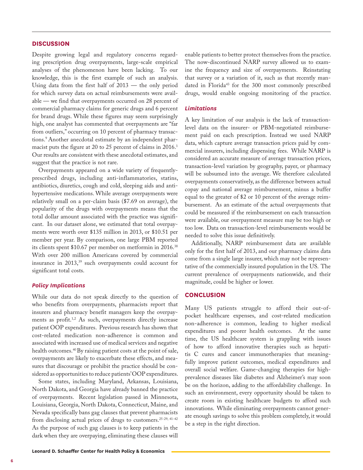#### **DISCUSSION**

Despite growing legal and regulatory concerns regarding prescription drug overpayments, large-scale empirical analyses of the phenomenon have been lacking. To our knowledge, this is the first example of such an analysis. Using data from the first half of 2013 — the only period for which survey data on actual reimbursements were available — we find that overpayments occurred on 28 percent of commercial pharmacy claims for generic drugs and 6 percent for brand drugs. While these figures may seem surprisingly high, one analyst has commented that overpayments are "far from outliers," occurring on 10 percent of pharmacy transactions.<sup>9</sup> Another anecdotal estimate by an independent pharmacist puts the figure at 20 to 25 percent of claims in 2016.<sup>1</sup> Our results are consistent with these anecdotal estimates, and suggest that the practice is not rare.

Overpayments appeared on a wide variety of frequentlyprescribed drugs, including anti-inflammatories, statins, antibiotics, diuretics, cough and cold, sleeping aids and antihypertensive medications. While average overpayments were relatively small on a per-claim basis (\$7.69 on average), the popularity of the drugs with overpayments means that the total dollar amount associated with the practice was significant. In our dataset alone, we estimated that total overpayments were worth over \$135 million in 2013, or \$10.51 per member per year. By comparison, one large PBM reported its clients spent \$10.67 per member on metformin in 2016.<sup>38</sup> With over 200 million Americans covered by commercial insurance in 2013,<sup>39</sup> such overpayments could account for significant total costs.

#### *Policy Implications*

While our data do not speak directly to the question of who benefits from overpayments, pharmacists report that insurers and pharmacy benefit managers keep the overpayments as profit.1,2 As such, overpayments directly increase patient OOP expenditures. Previous research has shown that cost-related medication non-adherence is common and associated with increased use of medical services and negative health outcomes.<sup>40</sup> By raising patient costs at the point of sale, overpayments are likely to exacerbate these effects, and measures that discourage or prohibit the practice should be considered as opportunities to reduce patients' OOP expenditures.

Some states, including Maryland, Arkansas, Louisiana, North Dakota, and Georgia have already banned the practice of overpayments. Recent legislation passed in Minnesota, Louisiana, Georgia, North Dakota, Connecticut, Maine, and Nevada specifically bans gag clauses that prevent pharmacists from disclosing actual prices of drugs to customers.<sup>25-29, 41-42</sup> As the purpose of such gag clauses is to keep patients in the dark when they are overpaying, eliminating these clauses will

enable patients to better protect themselves from the practice. The now-discontinued NARP survey allowed us to examine the frequency and size of overpayments. Reinstating that survey or a variation of it, such as that recently mandated in Florida<sup>43</sup> for the 300 most commonly prescribed drugs, would enable ongoing monitoring of the practice.

#### *Limitations*

A key limitation of our analysis is the lack of transactionlevel data on the insurer- or PBM-negotiated reimbursement paid on each prescription. Instead we used NARP data, which capture average transaction prices paid by commercial insurers, including dispensing fees. While NARP is considered an accurate measure of average transaction prices, transaction-level variation by geography, payer, or pharmacy will be subsumed into the average. We therefore calculated overpayments conservatively, as the difference between actual copay and national average reimbursement, minus a buffer equal to the greater of \$2 or 10 percent of the average reimbursement. As an estimate of the actual overpayments that could be measured if the reimbursement on each transaction were available, our overpayment measure may be too high or too low. Data on transaction-level reimbursements would be needed to solve this issue definitively.

Additionally, NARP reimbursement data are available only for the first half of 2013, and our pharmacy claims data come from a single large insurer, which may not be representative of the commercially insured population in the US. The current prevalence of overpayments nationwide, and their magnitude, could be higher or lower.

#### **CONCLUSION**

Many US patients struggle to afford their out-ofpocket healthcare expenses, and cost-related medication non-adherence is common, leading to higher medical expenditures and poorer health outcomes. At the same time, the US healthcare system is grappling with issues of how to afford innovative therapies such as hepatitis C cures and cancer immunotherapies that meaningfully improve patient outcomes, medical expenditures and overall social welfare. Game-changing therapies for highprevalence diseases like diabetes and Alzheimer's may soon be on the horizon, adding to the affordability challenge. In such an environment, every opportunity should be taken to create room in existing healthcare budgets to afford such innovations. While eliminating overpayments cannot generate enough savings to solve this problem completely, it would be a step in the right direction.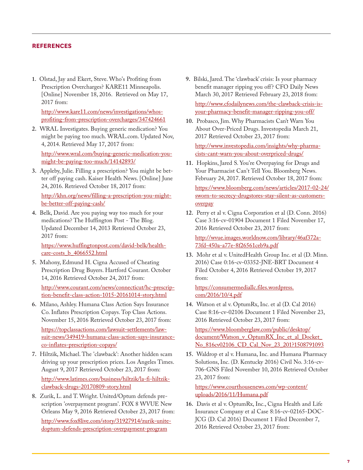#### **REFERENCES**

**1.** Olstad, Jay and Ekert, Steve. Who's Profiting from Prescription Overcharges? KARE11 Minneapolis. [Online] November 18, 2016. Retrieved on May 17, 2017 from:

http://www.kare11.com/news/investigations/whosprofiting-from-prescription-overcharges/347424661

**2.** WRAL Investigates. Buying generic medication? You might be paying too much. WRAL.com. Updated Nov, 4, 2014. Retrieved May 17, 2017 from:

http://www.wral.com/buying-generic-medication-youmight-be-paying-too-much/14142893/

**3.** Appleby, Julie. Filling a prescription? You might be better off paying cash. Kaiser Health News. [Online] June 24, 2016. Retrieved October 18, 2017 from:

http://khn.org/news/filling-a-prescription-you-mightbe-better-off-paying-cash/

**4.** Belk, David. Are you paying way too much for your medications? The Huffington Post - The Blog. Updated December 14, 2013 Retrieved October 23, 2017 from:

https://www.huffingtonpost.com/david-belk/healthcare-costs b 4066552.html

**5.** Mahony, Edmund H. Cigna Accused of Cheating Prescription Drug Buyers. Hartford Courant. October 14, 2016 Retrieved October 24, 2017 from:

[http://www.courant.com/news/connecticut/hc-prescrip](http://www.courant.com/news/connecticut/hc-prescription-benefit-class-action-1015-20161014-story.html)tion-benefit-class-action-1015-20161014-story.html

- **6.** Milano, Ashley. Humana Class Action Says Insurance Co. Inflates Prescription Copays. Top Class Actions. November 15, 2016 Retrieved October 23, 2017 from: https://topclassactions.com/lawsuit-settlements/lawsuit-news/349419-humana-class-action-says-insuranceco-inflates-prescription-copays/
- **7.** Hiltzik, Michael. The 'clawback': Another hidden scam driving up your prescription prices. Los Angeles Times. August 9, 2017 Retrieved October 23, 2017 from: http://www.latimes.com/business/hiltzik/la-fi-hiltzikclawback-drugs-20170809-story.html
- **8.** Zurik, L. and T. Wright. United/Optum defends prescription 'overpayment program'. FOX 8 WVUE New Orleans May 9, 2016 Retrieved October 23, 2017 from: http://www.fox8live.com/story/31927914/zurik-unitedoptum-defends-prescription-overpayment-program
- **9.** Bilski, Jared. The 'clawback' crisis: Is your pharmacy benefit manager ripping you off? CFO Daily News March 30, 2017 Retrieved February 23, 2018 from: http://www.cfodailynews.com/the-clawback-crisis-isyour-pharmacy-benefit-manager-ripping-you-off/
- **10.** Probasco, Jim. Why Pharmacists Can't Warn You About Over-Priced Drugs. Investopedia March 21, 2017 Retrieved October 23, 2017 from:

[http://www.investopedia.com/insights/why-pharma](https://www.investopedia.com/insights/why-pharmacists-cant-warn-you-about-overpriced-drugs/)cists-cant-warn-you-about-overpriced-drugs/

**11.** Hopkins, Jared S. You're Overpaying for Drugs and Your Pharmacist Can't Tell You. Bloomberg News. February 24, 2017. Retrieved October 18, 2017 from:

https://www.bloomberg.com/news/articles/2017-02-24/ sworn-to-secrecy-drugstores-stay-silent-as-customersoverpay

**12.** Perry et al v. Cigna Corporation et al (D. Conn. 2016) Case 3:16-cv-01904 Document 1 Filed November 17, 2016 Retrieved October 23, 2017 from:

http://wvue.images.worldnow.com/library/46af372a-73fd-450a-a77e-8f26561ceb9a.pdf

**13.** Mohr et al v. UnitedHealth Group Inc. et al (D. Minn. 2016) Case 0:16-cv-03352-JNE-BRT Document 4 Filed October 4, 2016 Retrieved October 19, 2017 from:

https://consumermediallc.files.wordpress. com/2016/10/4.pdf

**14.** Watson et al v. OptumRx, Inc. et al (D. Cal 2016) Case 8:16-cv-02106 Document 1 Filed November 23, 2016 Retrieved October 23, 2017 from:

https://www.bloomberglaw.com/public/desktop/ document/Watson\_v\_OptumRX\_Inc\_et\_al\_Docket\_ No\_816cv02106\_CD\_Cal\_Nov\_23\_201?1508791093

**15.** Waldrop et al v. Humana, Inc. and Humana Pharmacy Solutions, Inc. (D. Kentucky 2016) Civil No. 3:16-cv-706-GNS Filed November 10, 2016 Retrieved October 23, 2017 from:

https://www.courthousenews.com/wp-content/ uploads/2016/11/Humana.pdf

**16.** Davis et al v. OptumRx, Inc., Cigna Health and Life Insurance Company et al Case 8:16-cv-02165-DOC-JCG (D. Cal 2016) Document 1 Filed December 7, 2016 Retrieved October 23, 2017 from: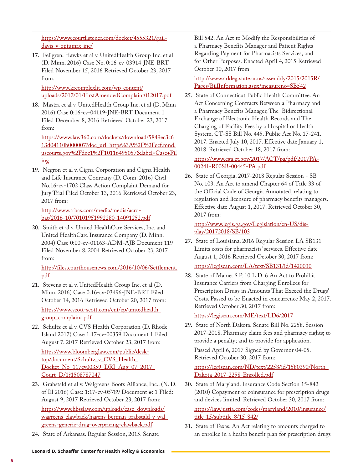https://www.courtlistener.com/docket/4555321/gaildavis-v-optumrx-inc/

**17.** Fellgren, Hawks et al v. UnitedHealth Group Inc. et al (D. Minn. 2016) Case No. 0:16-cv-03914-JNE-BRT Filed November 15, 2016 Retrieved October 23, 2017 from:

http://www.krcomplexlit.com/wp-content/ uploads/2017/01/FirstAmendedComplaint012017.pdf

**18.** Mastra et al v. UnitedHealth Group Inc. et al (D. Minn 2016) Case 0:16-cv-04119-JNE-BRT Document 1 Filed December 8, 2016 Retrieved October 23, 2017 from:

https://www.law360.com/dockets/download/5849ec3c6 13d04110b000007?doc\_url=https%3A%2F%2Fecf.mnd. uscourts.gov%2Fdoc1%2F10116495057&label=Case+Fil ing

**19.** Negron et al v. Cigna Corporation and Cigna Health and Life Insurance Company (D. Conn. 2016) Civil No.16-cv-1702 Class Action Complaint Demand for Jury Trial Filed October 13, 2016 Retrieved October 23, 2017 from:

http://www.trbas.com/media/media/acro[bat/2016-10/70101951992280-14091252.pdf](http://www.trbas.com/media/media/acrobat/2016-10/70101951992280-14091252.pdf)

**20.** Smith et al v. United HealthCare Services, Inc. and United HealthCare Insurance Company (D. Minn. 2004) Case 0:00-cv-01163-ADM-AJB Document 119 Filed November 8, 2004 Retrieved October 23, 2017 from:

http://files.courthousenews.com/2016/10/06/Settlement. pdf

- **21.** Stevens et al v. UnitedHealth Group Inc. et al (D. Minn. 2016) Case 0:16-cv-03496-JNE-BRT Filed October 14, 2016 Retrieved October 20, 2017 from: https://www.scott-scott.com/cnt/cp/unitedhealth\_ group\_complaint.pdf
- **22.** Schultz et al v. CVS Health Corporation (D. Rhode Island 2017) Case 1:17-cv-00359 Document 1 Filed August 7, 2017 Retrieved October 23, 2017 from:

https://www.bloomberglaw.com/public/desktop/document/Schultz\_v\_CVS\_Health\_ [Docket\\_No\\_117cv00359\\_DRI\\_Aug\\_07\\_2017\\_](https://www.bloomberglaw.com/public/desktop/document/Schultz_v_CVS_Health_Docket_No_117cv00359_DRI_Aug_07_2017_Court_D/1?1508787047) Court\_D/1?1508787047

**23.** Grabstald et al v. Walgreens Boots Alliance, Inc., (N. D. of Ill 2016) Case: 1:17-cv-05789 Document #: 1 Filed: August 9, 2017 Retrieved October 23, 2017 from:

https://www.hbsslaw.com/uploads/case\_downloads/ [wagreens-clawback/hagens-berman-grabstald-v-wal](https://www.hbsslaw.com/uploads/case_downloads/wagreens-clawback/hagens-berman-grabstald-v-walgreens-generic-drug-overpricing-clawback.pdf)greens-generic-drug-overpricing-clawback.pdf

**24.** State of Arkansas. Regular Session, 2015. Senate

Bill 542. An Act to Modify the Responsibilities of a Pharmacy Benefits Manager and Patient Rights Regarding Payment for Pharmacists Services; and for Other Purposes. Enacted April 4, 2015 Retrieved October 30, 2017 from:

http://www.arkleg.state.ar.us/assembly/2015/2015R/ Pages/BillInformation.aspx?measureno=SB542

**25.** State of Connecticut Public Health Committee. An Act Concerning Contracts Between a Pharmacy and a Pharmacy Benefits Manager, The Bidirectional Exchange of Electronic Health Records and The Charging of Facility Fees by a Hospital or Health System. CT-SS Bill No. 445. Public Act No. 17-241. 2017. Enacted July 10, 2017. Effective date January 1, 2018. Retrieved October 18, 2017 from:

https://www.cga.ct.gov/2017/ACT/pa/pdf/2017PA-00241-R00SB-00445-PA.pdf

**26.** State of Georgia. 2017-2018 Regular Session - SB No. 103. An Act to amend Chapter 64 of Title 33 of the Official Code of Georgia Annotated, relating to regulation and licensure of pharmacy benefits managers. Effective date August 1, 2017. Retrieved October 30, 2017 from:

[http://www.legis.ga.gov/Legislation/en-US/dis](http://www.legis.ga.gov/Legislation/en-US/display/20172018/SB/103)play/20172018/SB/103

- **27.** State of Louisiana. 2016 Regular Session LA SB131 Limits costs for pharmacists' services. Effective date August 1, 2016 Retrieved October 30, 2017 from: https://legiscan.com/LA/text/SB131/id/1420030
- **28.** State of Maine. S.P. 10 L.D. 6 An Act to Prohibit Insurance Carriers from Charging Enrollees for Prescription Drugs in Amounts That Exceed the Drugs' Costs. Passed to be Enacted in concurrence May 2, 2017. Retrieved October 30, 2017 from:

https://legiscan.com/ME/text/LD6/2017

**29.** State of North Dakota. Senate Bill No. 2258. Session 2017-2018. Pharmacy claim fees and pharmacy rights; to provide a penalty; and to provide for application. Passed April 6, 2017 Signed by Governor 04-05. Retrieved October 30, 2017 from:

https://legiscan.com/ND/text/2258/id/1580390/North\_ Dakota-2017-2258-Enrolled.pdf

**30.** State of Maryland. Insurance Code Section 15-842 (2010) Copayment or coinsurance for prescription drugs and devices limited. Retrieved October 30, 2017 from:

https://law.justia.com/codes/maryland/2010/insurance/ title-15/subtitle-8/15-842/

**31.** State of Texas. An Act relating to amounts charged to an enrollee in a health benefit plan for prescription drugs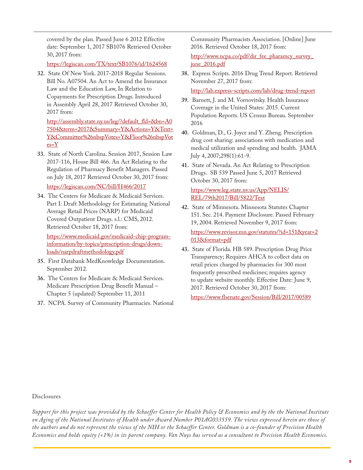covered by the plan. Passed June 6 2012 Effective date: September 1, 2017 SB1076 Retrieved October 30, 2017 from:

https://legiscan.com/TX/text/SB1076/id/1624568

**32.** State Of New York. 2017-2018 Regular Sessions. Bill No. A07504. An Act to Amend the Insurance Law and the Education Law, In Relation to Copayments for Prescription Drugs. Introduced in Assembly April 28, 2017 Retrieved October 30, 2017 from:

http://assembly.state.ny.us/leg/?default\_fld=&bn=A0 7504&term=2017&Summary=Y&Actions=Y&Text= Y&Committee%26nbspVotes=Y&Floor%26nbspVot  $es = Y$ 

**33.** State of North Carolina. Session 2017, Session Law 2017-116, House Bill 466. An Act Relating to the Regulation of Pharmacy Benefit Managers. Passed on July 18, 2017 Retrieved October 30, 2017 from:

https://legiscan.com/NC/bill/H466/2017

**34.** The Centers for Medicare & Medicaid Services. Part I: Draft Methodology for Estimating National Average Retail Prices (NARP) for Medicaid Covered Outpatient Drugs. s.l.: CMS, 2012. Retrieved October 18, 2017 from:

[https://www.medicaid.gov/medicaid-chip-program](https://www.medicaid.gov/medicaid-chip-program-information/by-topics/prescription-drugs/downloads/narpdraftmethodology.pdf)information/by-topics/prescription-drugs/downloads/narpdraftmethodology.pdf

- **35.** First Databank MedKnowledge Documentation. September 2012.
- **36.** The Centers for Medicare & Medicaid Services. Medicare Prescription Drug Benefit Manual – Chapter 5 (updated) September 11, 2011
- **37.** NCPA. Survey of Community Pharmacies. National

Community Pharmacists Association. [Online] June 2016. Retrieved October 18, 2017 from:

http://www.ncpa.co/pdf/dir\_fee\_pharamcy\_survey\_ june\_2016.pdf

**38.** Express Scripts. 2016 Drug Trend Report. Retrieved November 27, 2017 from:

http://lab.express-scripts.com/lab/drug-trend-report

- **39.** Barnett, J. and M. Vornovitsky. Health Insurance Coverage in the United States: 2015. Current Population Reports. US Census Bureau. September 2016
- **40.** Goldman, D., G. Joyce and Y. Zheng. Prescription drug cost sharing: associations with medication and medical utilization and spending and health. JAMA July 4, 2007;298(1):61-9.
- **41.** State of Nevada. An Act Relating to Prescription Drugs. SB 539 Passed June 5, 2017 Retrieved October 30, 2017 from:

https://www.leg.state.nv.us/App/NELIS/ REL/79th2017/Bill/5822/Text

**42.** State of Minnesota. Minnesota Statutes Chapter 151. Sec. 214. Payment Disclosure. Passed February 19, 2004. Retrieved November 9, 2017 from:

https://www.revisor.mn.gov/statutes/?id=151&year=2 013&format=pdf

**43.** State of Florida. HB 589. Prescription Drug Price Transparency; Requires AHCA to collect data on retail prices charged by pharmacies for 300 most frequently prescribed medicines; requires agency to update website monthly. Effective Date: June 9, 2017. Retrieved October 30, 2017 from:

https://www.flsenate.gov/Session/Bill/2017/00589

#### Disclosures

*Support for this project was provided by the Schaeffer Center for Health Policy & Economics and by the the National Institute on Aging of the National Institutes of Health under Award Number P01AG033559. The views expressed herein are those of the authors and do not represent the views of the NIH or the Schaeffer Center. Goldman is a co-founder of Precision Health Economics and holds equity (<1%) in its parent company. Van Nuys has served as a consultant to Precision Health Economics.*